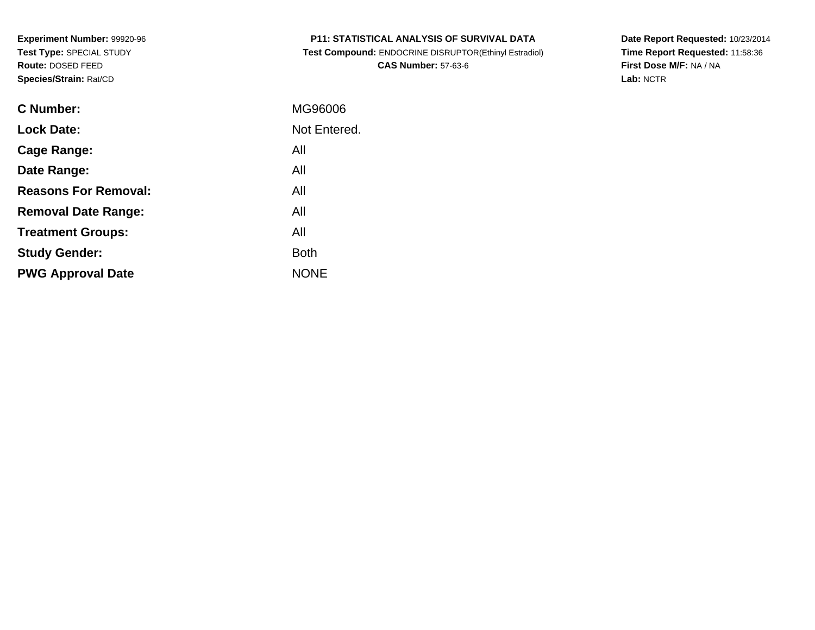| <b>P11: STATISTICAL ANALYSIS OF SURVIVAL DATA</b> |  |
|---------------------------------------------------|--|
|---------------------------------------------------|--|

 **Test Compound:** ENDOCRINE DISRUPTOR(Ethinyl Estradiol)**CAS Number:** 57-63-6

**Date Report Requested:** 10/23/2014 **Time Report Requested:** 11:58:36**First Dose M/F:** NA / NA**Lab:** NCTR

| C Number:                   | MG96006      |
|-----------------------------|--------------|
| <b>Lock Date:</b>           | Not Entered. |
| Cage Range:                 | All          |
| Date Range:                 | All          |
| <b>Reasons For Removal:</b> | All          |
| <b>Removal Date Range:</b>  | All          |
| <b>Treatment Groups:</b>    | All          |
| <b>Study Gender:</b>        | <b>Both</b>  |
| <b>PWG Approval Date</b>    | <b>NONE</b>  |
|                             |              |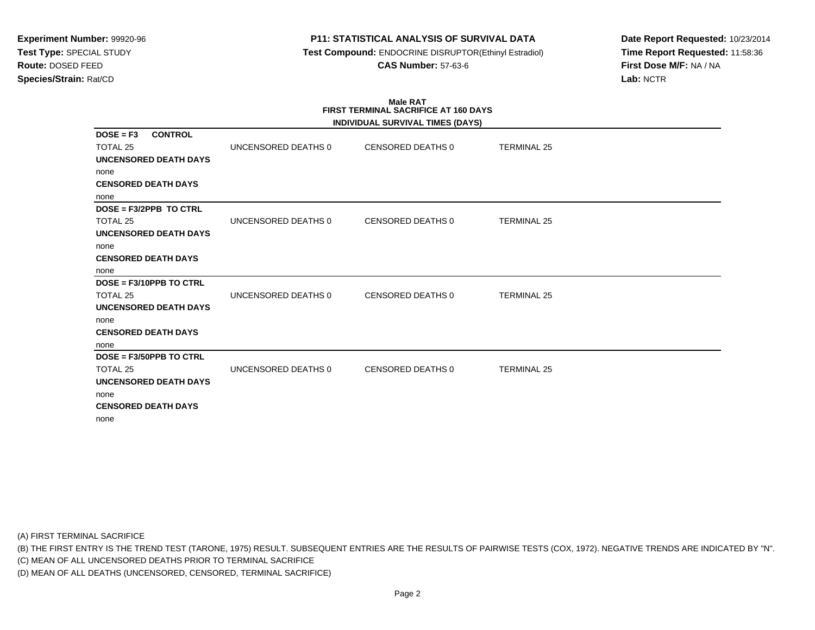# **P11: STATISTICAL ANALYSIS OF SURVIVAL DATA**

 **Test Compound:** ENDOCRINE DISRUPTOR(Ethinyl Estradiol)**CAS Number:** 57-63-6

**Date Report Requested:** 10/23/2014**Time Report Requested:** 11:58:36**First Dose M/F:** NA / NA**Lab:** NCTR

#### **Male RAT FIRST TERMINAL SACRIFICE AT 160 DAYSINDIVIDUAL SURVIVAL TIMES (DAYS)**

|                                                  |                     | INDIVIDUAL SURVIVAL TIMES (DATS) |                    |
|--------------------------------------------------|---------------------|----------------------------------|--------------------|
| <b>CONTROL</b><br>$DOSE = F3$<br><b>TOTAL 25</b> | UNCENSORED DEATHS 0 | CENSORED DEATHS 0                | <b>TERMINAL 25</b> |
| UNCENSORED DEATH DAYS                            |                     |                                  |                    |
| none                                             |                     |                                  |                    |
| <b>CENSORED DEATH DAYS</b>                       |                     |                                  |                    |
| none                                             |                     |                                  |                    |
| DOSE = F3/2PPB TO CTRL                           |                     |                                  |                    |
| TOTAL 25                                         | UNCENSORED DEATHS 0 | CENSORED DEATHS 0                | <b>TERMINAL 25</b> |
| <b>UNCENSORED DEATH DAYS</b>                     |                     |                                  |                    |
| none                                             |                     |                                  |                    |
| <b>CENSORED DEATH DAYS</b>                       |                     |                                  |                    |
| none                                             |                     |                                  |                    |
| $DOSE = F3/10PPB TO CTRL$                        |                     |                                  |                    |
| TOTAL 25                                         | UNCENSORED DEATHS 0 | <b>CENSORED DEATHS 0</b>         | <b>TERMINAL 25</b> |
| <b>UNCENSORED DEATH DAYS</b>                     |                     |                                  |                    |
| none                                             |                     |                                  |                    |
| <b>CENSORED DEATH DAYS</b>                       |                     |                                  |                    |
| none                                             |                     |                                  |                    |
| $DOSE = F3/50PPB TO CTRL$                        |                     |                                  |                    |
| TOTAL 25                                         | UNCENSORED DEATHS 0 | <b>CENSORED DEATHS 0</b>         | <b>TERMINAL 25</b> |
| <b>UNCENSORED DEATH DAYS</b>                     |                     |                                  |                    |
| none                                             |                     |                                  |                    |
| <b>CENSORED DEATH DAYS</b>                       |                     |                                  |                    |
| none                                             |                     |                                  |                    |

(A) FIRST TERMINAL SACRIFICE

(B) THE FIRST ENTRY IS THE TREND TEST (TARONE, 1975) RESULT. SUBSEQUENT ENTRIES ARE THE RESULTS OF PAIRWISE TESTS (COX, 1972). NEGATIVE TRENDS ARE INDICATED BY "N".

(C) MEAN OF ALL UNCENSORED DEATHS PRIOR TO TERMINAL SACRIFICE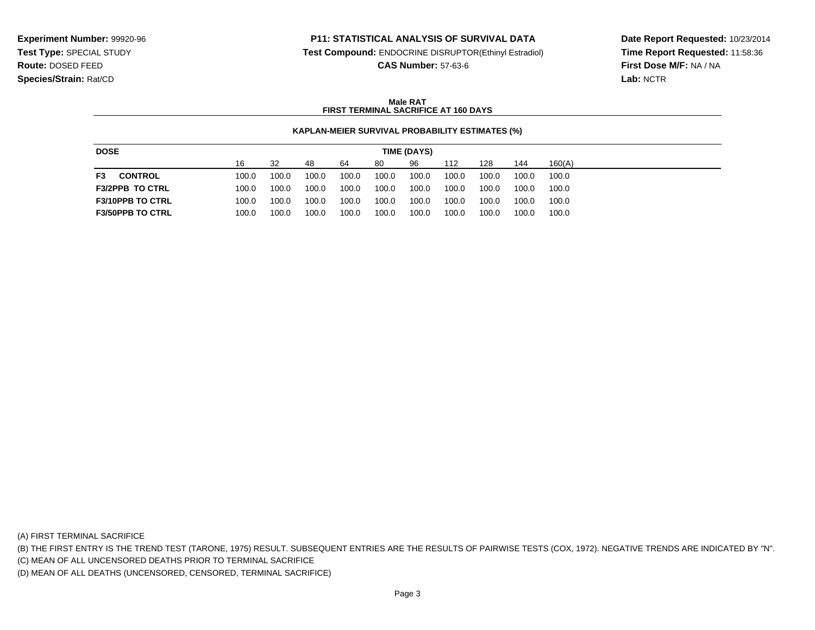## **P11: STATISTICAL ANALYSIS OF SURVIVAL DATA**

**Test Compound:** ENDOCRINE DISRUPTOR(Ethinyl Estradiol)

**CAS Number:** 57-63-6

**Date Report Requested:** 10/23/2014**Time Report Requested:** 11:58:36**First Dose M/F:** NA / NA**Lab:** NCTR

## **Male RATFIRST TERMINAL SACRIFICE AT 160 DAYS**

### **KAPLAN-MEIER SURVIVAL PROBABILITY ESTIMATES (%)**

| <b>DOSE</b>             | TIME (DAYS) |       |       |       |       |       |       |       |       |        |
|-------------------------|-------------|-------|-------|-------|-------|-------|-------|-------|-------|--------|
|                         | 16          | 32    | 48    | 64    | 80    | 96    | 112   | 128   | 144   | 160(A) |
| F3<br><b>CONTROL</b>    | 100.0       | 100.0 | 100.0 | 100.0 | 100.0 | 100.0 | 100.0 | 100.0 | 100.0 | 100.0  |
| <b>F3/2PPB TO CTRL</b>  | 100.0       | 100.0 | 100.0 | 100.0 | 100.0 | 100.0 | 100.0 | 100.0 | 100.0 | 100.0  |
| <b>F3/10PPB TO CTRL</b> | 100.0       | 100.0 | 100.0 | 100.0 | 100.0 | 100.0 | 100.0 | 100.0 | 100.0 | 100.0  |
| <b>F3/50PPB TO CTRL</b> | 100.0       | 100.0 | 100.0 | 100.0 | 100.0 | 100.0 | 100.0 | 100.0 | 100.0 | 100.0  |

(A) FIRST TERMINAL SACRIFICE

(B) THE FIRST ENTRY IS THE TREND TEST (TARONE, 1975) RESULT. SUBSEQUENT ENTRIES ARE THE RESULTS OF PAIRWISE TESTS (COX, 1972). NEGATIVE TRENDS ARE INDICATED BY "N".

(C) MEAN OF ALL UNCENSORED DEATHS PRIOR TO TERMINAL SACRIFICE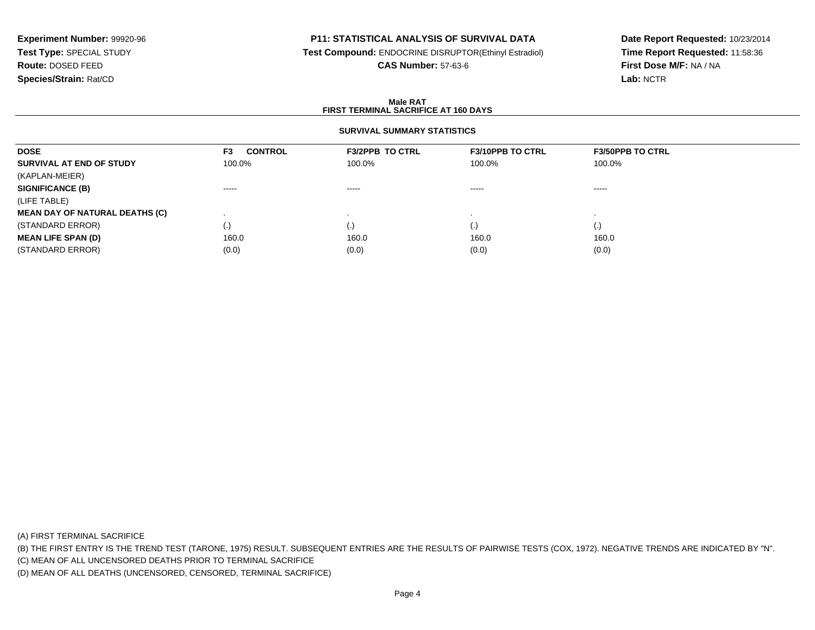# **P11: STATISTICAL ANALYSIS OF SURVIVAL DATA**

**Test Compound:** ENDOCRINE DISRUPTOR(Ethinyl Estradiol)

**CAS Number:** 57-63-6

**Date Report Requested:** 10/23/2014**Time Report Requested:** 11:58:36**First Dose M/F:** NA / NA**Lab:** NCTR

### **Male RATFIRST TERMINAL SACRIFICE AT 160 DAYS**

# **SURVIVAL SUMMARY STATISTICS**

| <b>DOSE</b>                           | <b>CONTROL</b><br>F3 | <b>F3/2PPB TO CTRL</b> | <b>F3/10PPB TO CTRL</b> | <b>F3/50PPB TO CTRL</b>                                                                                                                                                                                                                                                                                                                                                                                                                                                                |
|---------------------------------------|----------------------|------------------------|-------------------------|----------------------------------------------------------------------------------------------------------------------------------------------------------------------------------------------------------------------------------------------------------------------------------------------------------------------------------------------------------------------------------------------------------------------------------------------------------------------------------------|
| SURVIVAL AT END OF STUDY              | 100.0%               | 100.0%                 | 100.0%                  | 100.0%                                                                                                                                                                                                                                                                                                                                                                                                                                                                                 |
| (KAPLAN-MEIER)                        |                      |                        |                         |                                                                                                                                                                                                                                                                                                                                                                                                                                                                                        |
| <b>SIGNIFICANCE (B)</b>               | $\cdots$             | $\cdots$               | $\cdots$                | $\begin{array}{cccccccccccccc} \multicolumn{2}{c}{} & \multicolumn{2}{c}{} & \multicolumn{2}{c}{} & \multicolumn{2}{c}{} & \multicolumn{2}{c}{} & \multicolumn{2}{c}{} & \multicolumn{2}{c}{} & \multicolumn{2}{c}{} & \multicolumn{2}{c}{} & \multicolumn{2}{c}{} & \multicolumn{2}{c}{} & \multicolumn{2}{c}{} & \multicolumn{2}{c}{} & \multicolumn{2}{c}{} & \multicolumn{2}{c}{} & \multicolumn{2}{c}{} & \multicolumn{2}{c}{} & \multicolumn{2}{c}{} & \multicolumn{2}{c}{} & \$ |
| (LIFE TABLE)                          |                      |                        |                         |                                                                                                                                                                                                                                                                                                                                                                                                                                                                                        |
| <b>MEAN DAY OF NATURAL DEATHS (C)</b> |                      |                        |                         |                                                                                                                                                                                                                                                                                                                                                                                                                                                                                        |
| (STANDARD ERROR)                      | $\cdot$              | $\cdot$                | $\cdot$                 | $\cdot$                                                                                                                                                                                                                                                                                                                                                                                                                                                                                |
| <b>MEAN LIFE SPAN (D)</b>             | 160.0                | 160.0                  | 160.0                   | 160.0                                                                                                                                                                                                                                                                                                                                                                                                                                                                                  |
| (STANDARD ERROR)                      | (0.0)                | (0.0)                  | (0.0)                   | (0.0)                                                                                                                                                                                                                                                                                                                                                                                                                                                                                  |

(A) FIRST TERMINAL SACRIFICE

(B) THE FIRST ENTRY IS THE TREND TEST (TARONE, 1975) RESULT. SUBSEQUENT ENTRIES ARE THE RESULTS OF PAIRWISE TESTS (COX, 1972). NEGATIVE TRENDS ARE INDICATED BY "N".

(C) MEAN OF ALL UNCENSORED DEATHS PRIOR TO TERMINAL SACRIFICE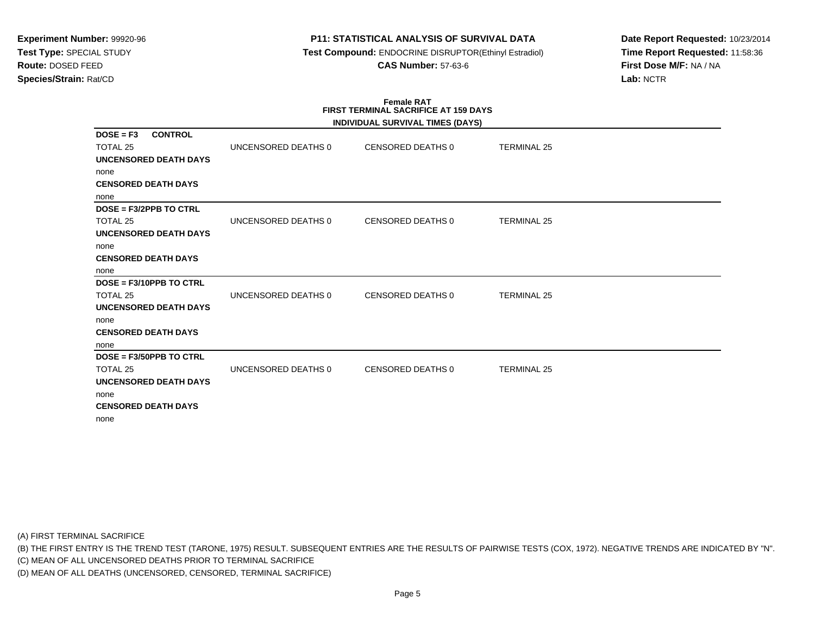# **P11: STATISTICAL ANALYSIS OF SURVIVAL DATA**

 **Test Compound:** ENDOCRINE DISRUPTOR(Ethinyl Estradiol)**CAS Number:** 57-63-6

**Date Report Requested:** 10/23/2014**Time Report Requested:** 11:58:36**First Dose M/F:** NA / NA**Lab:** NCTR

#### **Female RAT FIRST TERMINAL SACRIFICE AT 159 DAYSINDIVIDUAL SURVIVAL TIMES (DAYS)**

|                               |                     | INDIVIDUAL SURVIVAL TIMES (DAYS) |                    |  |
|-------------------------------|---------------------|----------------------------------|--------------------|--|
| <b>CONTROL</b><br>$DOSE = F3$ |                     |                                  |                    |  |
| TOTAL 25                      | UNCENSORED DEATHS 0 | <b>CENSORED DEATHS 0</b>         | <b>TERMINAL 25</b> |  |
| UNCENSORED DEATH DAYS         |                     |                                  |                    |  |
| none                          |                     |                                  |                    |  |
| <b>CENSORED DEATH DAYS</b>    |                     |                                  |                    |  |
| none                          |                     |                                  |                    |  |
| DOSE = F3/2PPB TO CTRL        |                     |                                  |                    |  |
| TOTAL 25                      | UNCENSORED DEATHS 0 | CENSORED DEATHS 0                | <b>TERMINAL 25</b> |  |
| UNCENSORED DEATH DAYS         |                     |                                  |                    |  |
| none                          |                     |                                  |                    |  |
| <b>CENSORED DEATH DAYS</b>    |                     |                                  |                    |  |
| none                          |                     |                                  |                    |  |
| DOSE = F3/10PPB TO CTRL       |                     |                                  |                    |  |
| TOTAL 25                      | UNCENSORED DEATHS 0 | <b>CENSORED DEATHS 0</b>         | <b>TERMINAL 25</b> |  |
| <b>UNCENSORED DEATH DAYS</b>  |                     |                                  |                    |  |
| none                          |                     |                                  |                    |  |
| <b>CENSORED DEATH DAYS</b>    |                     |                                  |                    |  |
| none                          |                     |                                  |                    |  |
| DOSE = F3/50PPB TO CTRL       |                     |                                  |                    |  |
| TOTAL 25                      | UNCENSORED DEATHS 0 | <b>CENSORED DEATHS 0</b>         | <b>TERMINAL 25</b> |  |
| UNCENSORED DEATH DAYS         |                     |                                  |                    |  |
| none                          |                     |                                  |                    |  |
| <b>CENSORED DEATH DAYS</b>    |                     |                                  |                    |  |
| none                          |                     |                                  |                    |  |
|                               |                     |                                  |                    |  |

(A) FIRST TERMINAL SACRIFICE

(B) THE FIRST ENTRY IS THE TREND TEST (TARONE, 1975) RESULT. SUBSEQUENT ENTRIES ARE THE RESULTS OF PAIRWISE TESTS (COX, 1972). NEGATIVE TRENDS ARE INDICATED BY "N".

(C) MEAN OF ALL UNCENSORED DEATHS PRIOR TO TERMINAL SACRIFICE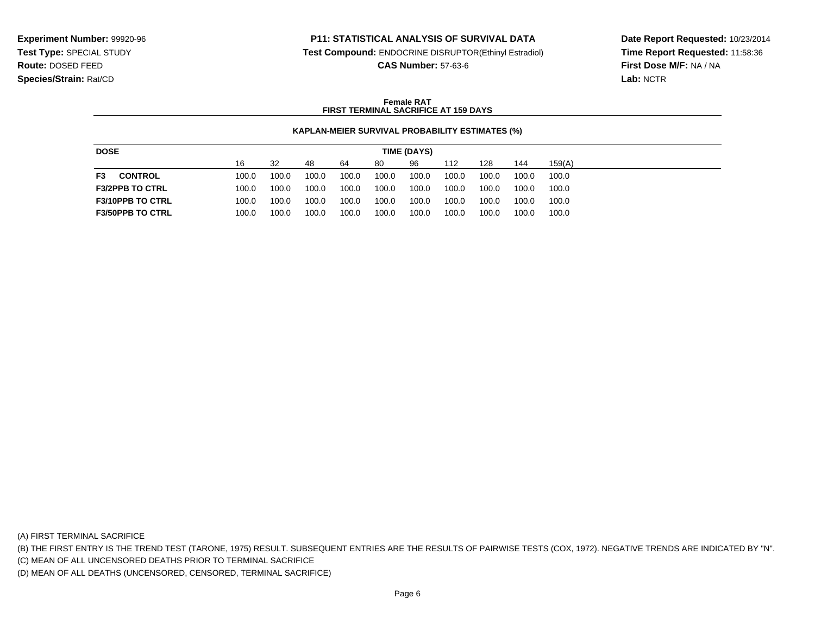## **P11: STATISTICAL ANALYSIS OF SURVIVAL DATA**

**Test Compound:** ENDOCRINE DISRUPTOR(Ethinyl Estradiol)

**CAS Number:** 57-63-6

**Date Report Requested:** 10/23/2014**Time Report Requested:** 11:58:36**First Dose M/F:** NA / NA**Lab:** NCTR

## **Female RATFIRST TERMINAL SACRIFICE AT 159 DAYS**

### **KAPLAN-MEIER SURVIVAL PROBABILITY ESTIMATES (%)**

| <b>DOSE</b><br>TIME (DAYS) |  |       |       |       |       |       |       |       |       |       |        |
|----------------------------|--|-------|-------|-------|-------|-------|-------|-------|-------|-------|--------|
|                            |  | 16    | 32    | 48    | 64    | 80    | 96    | 112   | 128   | 144   | 159(A) |
| <b>CONTROL</b><br>F3       |  | 100.0 | 100.0 | 100.0 | 100.0 | 100.0 | 100.0 | 100.0 | 100.0 | 100.0 | 100.0  |
| <b>F3/2PPB TO CTRL</b>     |  | 100.0 | 100.0 | 100.0 | 100.0 | 100.0 | 100.0 | 100.0 | 100.0 | 100.0 | 100.0  |
| <b>F3/10PPB TO CTRL</b>    |  | 100.0 | 100.0 | 100.0 | 100.0 | 100.0 | 100.0 | 100.0 | 100.0 | 100.0 | 100.0  |
| <b>F3/50PPB TO CTRL</b>    |  | 100.0 | 100.0 | 100.0 | 100.0 | 100.0 | 100.0 | 100.0 | 100.0 | 100.0 | 100.0  |

(A) FIRST TERMINAL SACRIFICE

(B) THE FIRST ENTRY IS THE TREND TEST (TARONE, 1975) RESULT. SUBSEQUENT ENTRIES ARE THE RESULTS OF PAIRWISE TESTS (COX, 1972). NEGATIVE TRENDS ARE INDICATED BY "N".

(C) MEAN OF ALL UNCENSORED DEATHS PRIOR TO TERMINAL SACRIFICE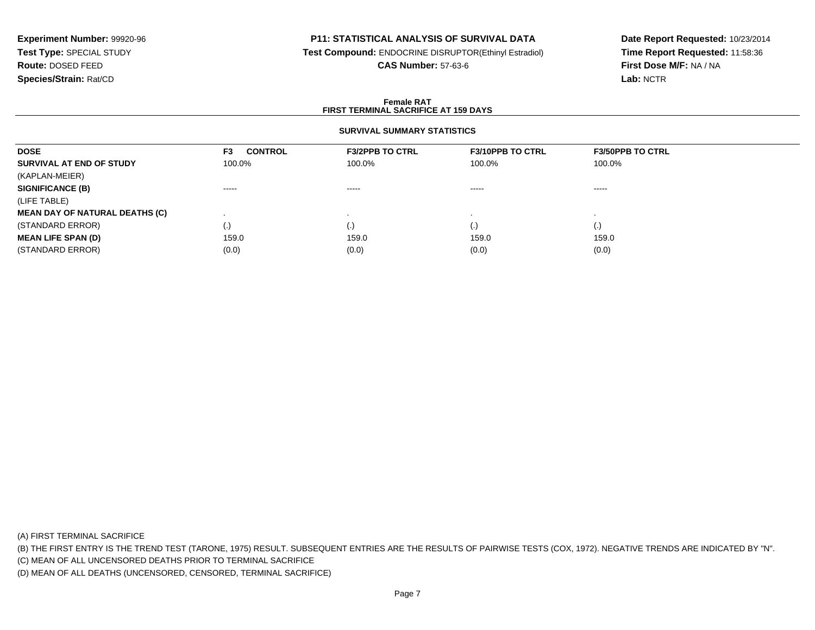# **P11: STATISTICAL ANALYSIS OF SURVIVAL DATA**

**Test Compound:** ENDOCRINE DISRUPTOR(Ethinyl Estradiol)

**CAS Number:** 57-63-6

**Date Report Requested:** 10/23/2014**Time Report Requested:** 11:58:36**First Dose M/F:** NA / NA**Lab:** NCTR

### **Female RATFIRST TERMINAL SACRIFICE AT 159 DAYS**

# **SURVIVAL SUMMARY STATISTICS**

| <b>DOSE</b>                           | <b>CONTROL</b><br>F <sub>3</sub> | <b>F3/2PPB TO CTRL</b> | <b>F3/10PPB TO CTRL</b> | <b>F3/50PPB TO CTRL</b> |
|---------------------------------------|----------------------------------|------------------------|-------------------------|-------------------------|
| SURVIVAL AT END OF STUDY              | 100.0%                           | 100.0%                 | 100.0%                  | 100.0%                  |
| (KAPLAN-MEIER)                        |                                  |                        |                         |                         |
| <b>SIGNIFICANCE (B)</b>               | $\cdots \cdots \cdots$           | $\cdots \cdots \cdots$ | $\cdots \cdots \cdots$  | -----                   |
| (LIFE TABLE)                          |                                  |                        |                         |                         |
| <b>MEAN DAY OF NATURAL DEATHS (C)</b> |                                  |                        |                         |                         |
| (STANDARD ERROR)                      | (.)                              |                        | $\cdot$                 | $\cdot$                 |
| <b>MEAN LIFE SPAN (D)</b>             | 159.0                            | 159.0                  | 159.0                   | 159.0                   |
| (STANDARD ERROR)                      | (0.0)                            | (0.0)                  | (0.0)                   | (0.0)                   |

(A) FIRST TERMINAL SACRIFICE

(B) THE FIRST ENTRY IS THE TREND TEST (TARONE, 1975) RESULT. SUBSEQUENT ENTRIES ARE THE RESULTS OF PAIRWISE TESTS (COX, 1972). NEGATIVE TRENDS ARE INDICATED BY "N".

(C) MEAN OF ALL UNCENSORED DEATHS PRIOR TO TERMINAL SACRIFICE